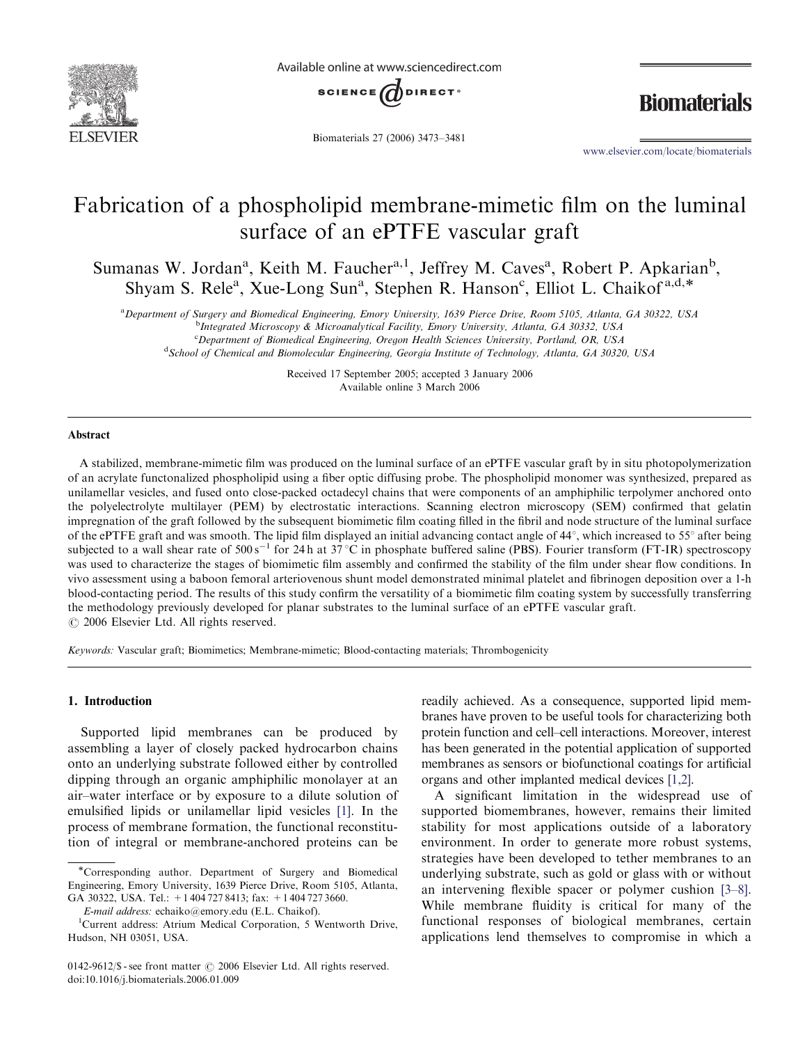

Available online at www.sciencedirect.com



Biomaterials 27 (2006) 3473–3481

**Biomaterials** 

www.elsevier.com/locate/biomaterials

# Fabrication of a phospholipid membrane-mimetic film on the luminal surface of an ePTFE vascular graft

Sumanas W. Jordan<sup>a</sup>, Keith M. Faucher<sup>a, 1</sup>, Jeffrey M. Caves<sup>a</sup>, Robert P. Apkarian<sup>b</sup>, shyam S. Rele<sup>a</sup>, Xue-Long Sun<sup>a</sup>, Stephen R. Hanson<sup>c</sup>, Elliot L. Chaikof<sup>a,d,\*</sup>

a Department of Surgery and Biomedical Engineering, Emory University, 1639 Pierce Drive, Room 5105, Atlanta, GA 30322, USA

<sup>b</sup>Integrated Microscopy & Microanalytical Facility, Emory University, Atlanta, GA 30332, USA

<sup>c</sup>Department of Biomedical Engineering, Oregon Health Sciences University, Portland, OR, USA

<sup>d</sup> School of Chemical and Biomolecular Engineering, Georgia Institute of Technology, Atlanta, GA 30320, USA

Received 17 September 2005; accepted 3 January 2006 Available online 3 March 2006

#### Abstract

A stabilized, membrane-mimetic film was produced on the luminal surface of an ePTFE vascular graft by in situ photopolymerization of an acrylate functonalized phospholipid using a fiber optic diffusing probe. The phospholipid monomer was synthesized, prepared as unilamellar vesicles, and fused onto close-packed octadecyl chains that were components of an amphiphilic terpolymer anchored onto the polyelectrolyte multilayer (PEM) by electrostatic interactions. Scanning electron microscopy (SEM) confirmed that gelatin impregnation of the graft followed by the subsequent biomimetic film coating filled in the fibril and node structure of the luminal surface of the ePTFE graft and was smooth. The lipid film displayed an initial advancing contact angle of  $44^{\circ}$ , which increased to  $55^{\circ}$  after being subjected to a wall shear rate of  $500 s^{-1}$  for 24h at 37 °C in phosphate buffered saline (PBS). Fourier transform (FT-IR) spectroscopy was used to characterize the stages of biomimetic film assembly and confirmed the stability of the film under shear flow conditions. In vivo assessment using a baboon femoral arteriovenous shunt model demonstrated minimal platelet and fibrinogen deposition over a 1-h blood-contacting period. The results of this study confirm the versatility of a biomimetic film coating system by successfully transferring the methodology previously developed for planar substrates to the luminal surface of an ePTFE vascular graft.  $\odot$  2006 Elsevier Ltd. All rights reserved.

Keywords: Vascular graft; Biomimetics; Membrane-mimetic; Blood-contacting materials; Thrombogenicity

## 1. Introduction

Supported lipid membranes can be produced by assembling a layer of closely packed hydrocarbon chains onto an underlying substrate followed either by controlled dipping through an organic amphiphilic monolayer at an air–water interface or by exposure to a dilute solution of emulsified lipids or unilamellar lipid vesicles [1]. In the process of membrane formation, the functional reconstitution of integral or membrane-anchored proteins can be

readily achieved. As a consequence, supported lipid membranes have proven to be useful tools for characterizing both protein function and cell–cell interactions. Moreover, interest has been generated in the potential application of supported membranes as sensors or biofunctional coatings for artificial organs and other implanted medical devices [1,2].

A significant limitation in the widespread use of supported biomembranes, however, remains their limited stability for most applications outside of a laboratory environment. In order to generate more robust systems, strategies have been developed to tether membranes to an underlying substrate, such as gold or glass with or without an intervening flexible spacer or polymer cushion [3–8]. While membrane fluidity is critical for many of the functional responses of biological membranes, certain applications lend themselves to compromise in which a

<sup>\*</sup>Corresponding author. Department of Surgery and Biomedical Engineering, Emory University, 1639 Pierce Drive, Room 5105, Atlanta, GA 30322, USA. Tel.: +1 404 727 8413; fax: +1 404 727 3660.

E-mail address: echaiko@emory.edu (E.L. Chaikof). <sup>1</sup>

<sup>&</sup>lt;sup>1</sup>Current address: Atrium Medical Corporation, 5 Wentworth Drive, Hudson, NH 03051, USA.

 $0142-9612/\$ S - see front matter  $\odot$  2006 Elsevier Ltd. All rights reserved. doi:10.1016/j.biomaterials.2006.01.009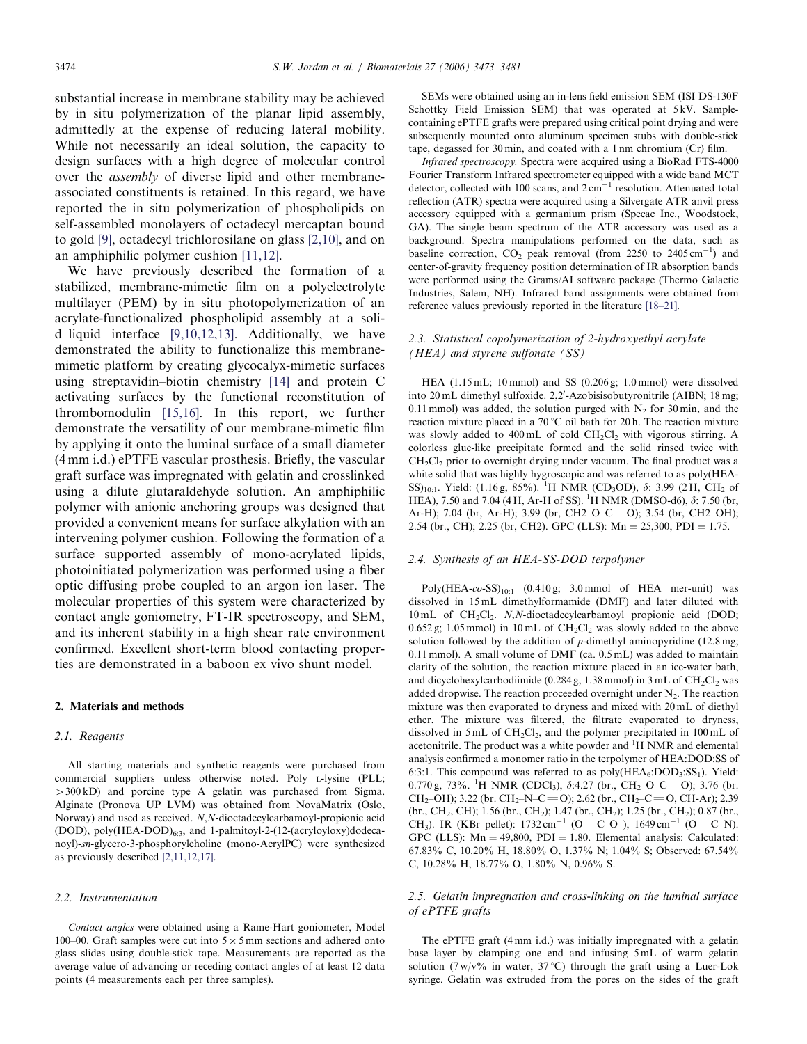substantial increase in membrane stability may be achieved by in situ polymerization of the planar lipid assembly, admittedly at the expense of reducing lateral mobility. While not necessarily an ideal solution, the capacity to design surfaces with a high degree of molecular control over the assembly of diverse lipid and other membraneassociated constituents is retained. In this regard, we have reported the in situ polymerization of phospholipids on self-assembled monolayers of octadecyl mercaptan bound to gold [9], octadecyl trichlorosilane on glass [2,10], and on an amphiphilic polymer cushion [11,12].

We have previously described the formation of a stabilized, membrane-mimetic film on a polyelectrolyte multilayer (PEM) by in situ photopolymerization of an acrylate-functionalized phospholipid assembly at a solid–liquid interface [9,10,12,13]. Additionally, we have demonstrated the ability to functionalize this membranemimetic platform by creating glycocalyx-mimetic surfaces using streptavidin–biotin chemistry [14] and protein C activating surfaces by the functional reconstitution of thrombomodulin [15,16]. In this report, we further demonstrate the versatility of our membrane-mimetic film by applying it onto the luminal surface of a small diameter (4 mm i.d.) ePTFE vascular prosthesis. Briefly, the vascular graft surface was impregnated with gelatin and crosslinked using a dilute glutaraldehyde solution. An amphiphilic polymer with anionic anchoring groups was designed that provided a convenient means for surface alkylation with an intervening polymer cushion. Following the formation of a surface supported assembly of mono-acrylated lipids, photoinitiated polymerization was performed using a fiber optic diffusing probe coupled to an argon ion laser. The molecular properties of this system were characterized by contact angle goniometry, FT-IR spectroscopy, and SEM, and its inherent stability in a high shear rate environment confirmed. Excellent short-term blood contacting properties are demonstrated in a baboon ex vivo shunt model.

#### 2. Materials and methods

#### 2.1. Reagents

All starting materials and synthetic reagents were purchased from commercial suppliers unless otherwise noted. Poly L-lysine (PLL;  $>300 kD$ ) and porcine type A gelatin was purchased from Sigma. Alginate (Pronova UP LVM) was obtained from NovaMatrix (Oslo, Norway) and used as received. N,N-dioctadecylcarbamoyl-propionic acid (DOD), poly $(HEA-DOD)_{6:3}$ , and 1-palmitoyl-2-(12-(acryloyloxy)dodecanoyl)-sn-glycero-3-phosphorylcholine (mono-AcrylPC) were synthesized as previously described [2,11,12,17].

#### 2.2. Instrumentation

Contact angles were obtained using a Rame-Hart goniometer, Model 100–00. Graft samples were cut into  $5 \times 5$  mm sections and adhered onto glass slides using double-stick tape. Measurements are reported as the average value of advancing or receding contact angles of at least 12 data points (4 measurements each per three samples).

SEMs were obtained using an in-lens field emission SEM (ISI DS-130F Schottky Field Emission SEM) that was operated at 5 kV. Samplecontaining ePTFE grafts were prepared using critical point drying and were subsequently mounted onto aluminum specimen stubs with double-stick tape, degassed for 30 min, and coated with a 1 nm chromium (Cr) film.

Infrared spectroscopy. Spectra were acquired using a BioRad FTS-4000 Fourier Transform Infrared spectrometer equipped with a wide band MCT detector, collected with 100 scans, and  $2 \text{ cm}^{-1}$  resolution. Attenuated total reflection (ATR) spectra were acquired using a Silvergate ATR anvil press accessory equipped with a germanium prism (Specac Inc., Woodstock, GA). The single beam spectrum of the ATR accessory was used as a background. Spectra manipulations performed on the data, such as baseline correction,  $CO_2$  peak removal (from 2250 to 2405 cm<sup>-1</sup>) and center-of-gravity frequency position determination of IR absorption bands were performed using the Grams/AI software package (Thermo Galactic Industries, Salem, NH). Infrared band assignments were obtained from reference values previously reported in the literature [18–21].

### 2.3. Statistical copolymerization of 2-hydroxyethyl acrylate (HEA) and styrene sulfonate (SS)

HEA (1.15 mL; 10 mmol) and SS (0.206 g; 1.0 mmol) were dissolved into 20 mL dimethyl sulfoxide. 2,2'-Azobisisobutyronitrile (AIBN; 18 mg; 0.11 mmol) was added, the solution purged with  $N_2$  for 30 min, and the reaction mixture placed in a  $70^{\circ}$ C oil bath for 20 h. The reaction mixture was slowly added to  $400 \text{ mL}$  of cold  $CH_2Cl_2$  with vigorous stirring. A colorless glue-like precipitate formed and the solid rinsed twice with  $CH<sub>2</sub>Cl<sub>2</sub>$  prior to overnight drying under vacuum. The final product was a white solid that was highly hygroscopic and was referred to as poly(HEA-SS)<sub>10:1</sub>. Yield: (1.16 g, 85%). <sup>1</sup>H NMR (CD<sub>3</sub>OD),  $\delta$ : 3.99 (2H, CH<sub>2</sub> of HEA), 7.50 and 7.04 (4H, Ar-H of SS). <sup>1</sup>H NMR (DMSO-d6),  $\delta$ : 7.50 (br, Ar-H); 7.04 (br, Ar-H); 3.99 (br, CH2–O–C=O); 3.54 (br, CH2–OH); 2.54 (br., CH); 2.25 (br, CH2). GPC (LLS):  $Mn = 25,300$ , PDI = 1.75.

#### 2.4. Synthesis of an HEA-SS-DOD terpolymer

Poly(HEA-co-SS)<sub>10:1</sub> (0.410 g; 3.0 mmol of HEA mer-unit) was dissolved in 15 mL dimethylformamide (DMF) and later diluted with 10 mL of CH<sub>2</sub>Cl<sub>2</sub>. N,N-dioctadecylcarbamoyl propionic acid (DOD;  $0.652$  g; 1.05 mmol) in 10 mL of CH<sub>2</sub>Cl<sub>2</sub> was slowly added to the above solution followed by the addition of  $p$ -dimethyl aminopyridine (12.8 mg; 0.11 mmol). A small volume of DMF (ca. 0.5 mL) was added to maintain clarity of the solution, the reaction mixture placed in an ice-water bath, and dicyclohexylcarbodiimide (0.284 g, 1.38 mmol) in  $3 \text{ mL of } CH_2Cl_2$  was added dropwise. The reaction proceeded overnight under  $N_2$ . The reaction mixture was then evaporated to dryness and mixed with 20 mL of diethyl ether. The mixture was filtered, the filtrate evaporated to dryness, dissolved in  $5 \text{ mL of } CH_2Cl_2$ , and the polymer precipitated in  $100 \text{ mL of}$ acetonitrile. The product was a white powder and  ${}^{1}H$  NMR and elemental analysis confirmed a monomer ratio in the terpolymer of HEA:DOD:SS of 6:3:1. This compound was referred to as  $poly(HEA_6:DOD_3:SS_1)$ . Yield: 0.770 g, 73%. <sup>1</sup>H NMR (CDCl<sub>3</sub>),  $\delta$ :4.27 (br., CH<sub>2</sub>-O-C=O); 3.76 (br. CH<sub>2</sub>–OH); 3.22 (br. CH<sub>2</sub>–N–C=O); 2.62 (br., CH<sub>2</sub>–C=O, CH-Ar); 2.39  $(br., CH<sub>2</sub>, CH); 1.56 (br., CH<sub>2</sub>); 1.47 (br., CH<sub>2</sub>); 1.25 (br., CH<sub>2</sub>); 0.87 (br.,$ CH<sub>3</sub>). IR (KBr pellet):  $1732 \text{ cm}^{-1}$  (O=C-O-),  $1649 \text{ cm}^{-1}$  (O=C-N). GPC (LLS):  $Mn = 49,800$ ,  $PDI = 1.80$ . Elemental analysis: Calculated: 67.83% C, 10.20% H, 18.80% O, 1.37% N; 1.04% S; Observed: 67.54% C, 10.28% H, 18.77% O, 1.80% N, 0.96% S.

#### 2.5. Gelatin impregnation and cross-linking on the luminal surface of ePTFE grafts

The ePTFE graft (4 mm i.d.) was initially impregnated with a gelatin base layer by clamping one end and infusing 5 mL of warm gelatin solution (7 w/v% in water, 37 °C) through the graft using a Luer-Lok syringe. Gelatin was extruded from the pores on the sides of the graft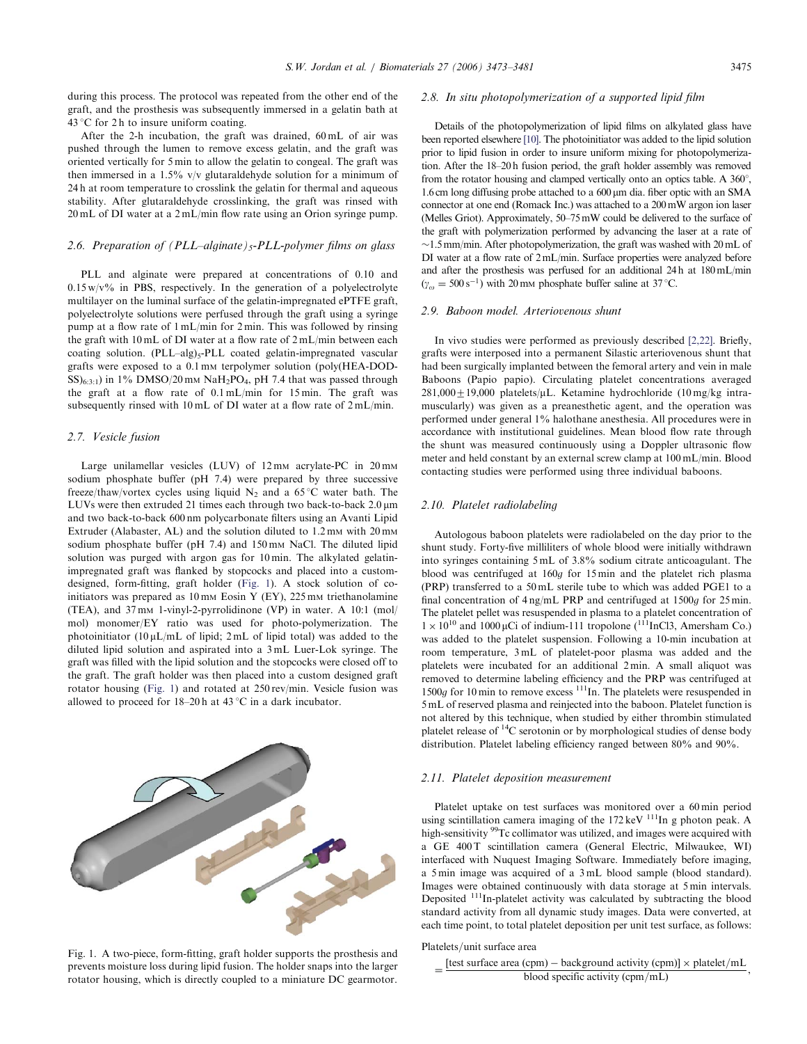during this process. The protocol was repeated from the other end of the graft, and the prosthesis was subsequently immersed in a gelatin bath at 43 °C for 2 h to insure uniform coating.

After the 2-h incubation, the graft was drained, 60 mL of air was pushed through the lumen to remove excess gelatin, and the graft was oriented vertically for 5 min to allow the gelatin to congeal. The graft was then immersed in a 1.5% v/v glutaraldehyde solution for a minimum of 24 h at room temperature to crosslink the gelatin for thermal and aqueous stability. After glutaraldehyde crosslinking, the graft was rinsed with 20 mL of DI water at a 2 mL/min flow rate using an Orion syringe pump.

#### 2.6. Preparation of  $(PLL-alignate)_5-PLL-polymer films$  on glass

PLL and alginate were prepared at concentrations of 0.10 and  $0.15 \,\mathrm{w/v\%}$  in PBS, respectively. In the generation of a polyelectrolyte multilayer on the luminal surface of the gelatin-impregnated ePTFE graft, polyelectrolyte solutions were perfused through the graft using a syringe pump at a flow rate of 1 mL/min for 2 min. This was followed by rinsing the graft with 10 mL of DI water at a flow rate of 2 mL/min between each coating solution. (PLL-alg)<sub>5</sub>-PLL coated gelatin-impregnated vascular grafts were exposed to a 0.1 mm terpolymer solution (poly(HEA-DOD- $\text{SS}_{6:3:1}$ ) in 1% DMSO/20 mm NaH<sub>2</sub>PO<sub>4</sub>, pH 7.4 that was passed through the graft at a flow rate of 0.1 mL/min for 15 min. The graft was subsequently rinsed with 10 mL of DI water at a flow rate of 2 mL/min.

#### 2.7. Vesicle fusion

Large unilamellar vesicles (LUV) of  $12 \text{ mm}$  acrylate-PC in  $20 \text{ mm}$ sodium phosphate buffer (pH 7.4) were prepared by three successive freeze/thaw/vortex cycles using liquid  $N_2$  and a 65 °C water bath. The LUVs were then extruded 21 times each through two back-to-back  $2.0 \,\mu m$ and two back-to-back 600 nm polycarbonate filters using an Avanti Lipid Extruder (Alabaster, AL) and the solution diluted to 1.2 mm with 20 mm sodium phosphate buffer (pH 7.4) and 150 mm NaCl. The diluted lipid solution was purged with argon gas for 10 min. The alkylated gelatinimpregnated graft was flanked by stopcocks and placed into a customdesigned, form-fitting, graft holder (Fig. 1). A stock solution of coinitiators was prepared as  $10 \text{ mm}$  Eosin Y (EY),  $225 \text{ mm}$  triethanolamine (TEA), and 37 mm 1-vinyl-2-pyrrolidinone (VP) in water. A 10:1 (mol/ mol) monomer/EY ratio was used for photo-polymerization. The photoinitiator (10  $\mu$ L/mL of lipid; 2 mL of lipid total) was added to the diluted lipid solution and aspirated into a 3 mL Luer-Lok syringe. The graft was filled with the lipid solution and the stopcocks were closed off to the graft. The graft holder was then placed into a custom designed graft rotator housing (Fig. 1) and rotated at 250 rev/min. Vesicle fusion was allowed to proceed for  $18-20h$  at  $43^{\circ}$ C in a dark incubator.

Fig. 1. A two-piece, form-fitting, graft holder supports the prosthesis and prevents moisture loss during lipid fusion. The holder snaps into the larger rotator housing, which is directly coupled to a miniature DC gearmotor.

#### 2.8. In situ photopolymerization of a supported lipid film

Details of the photopolymerization of lipid films on alkylated glass have been reported elsewhere [10]. The photoinitiator was added to the lipid solution prior to lipid fusion in order to insure uniform mixing for photopolymerization. After the 18–20 h fusion period, the graft holder assembly was removed from the rotator housing and clamped vertically onto an optics table. A  $360^{\circ}$ , 1.6 cm long diffusing probe attached to a  $600 \,\mu m$  dia. fiber optic with an SMA connector at one end (Romack Inc.) was attached to a 200mW argon ion laser (Melles Griot). Approximately, 50–75mW could be delivered to the surface of the graft with polymerization performed by advancing the laser at a rate of  $\sim$ 1.5 mm/min. After photopolymerization, the graft was washed with 20 mL of DI water at a flow rate of 2mL/min. Surface properties were analyzed before and after the prosthesis was perfused for an additional 24 h at 180mL/min  $(\gamma_{\omega} = 500 \,\text{s}^{-1})$  with 20 mm phosphate buffer saline at 37 °C.

#### 2.9. Baboon model. Arteriovenous shunt

In vivo studies were performed as previously described [2,22]. Briefly, grafts were interposed into a permanent Silastic arteriovenous shunt that had been surgically implanted between the femoral artery and vein in male Baboons (Papio papio). Circulating platelet concentrations averaged  $281,000\pm19,000$  platelets/µL. Ketamine hydrochloride (10 mg/kg intramuscularly) was given as a preanesthetic agent, and the operation was performed under general 1% halothane anesthesia. All procedures were in accordance with institutional guidelines. Mean blood flow rate through the shunt was measured continuously using a Doppler ultrasonic flow meter and held constant by an external screw clamp at 100 mL/min. Blood contacting studies were performed using three individual baboons.

#### 2.10. Platelet radiolabeling

Autologous baboon platelets were radiolabeled on the day prior to the shunt study. Forty-five milliliters of whole blood were initially withdrawn into syringes containing 5 mL of 3.8% sodium citrate anticoagulant. The blood was centrifuged at 160g for 15 min and the platelet rich plasma (PRP) transferred to a 50 mL sterile tube to which was added PGE1 to a final concentration of 4 ng/mL PRP and centrifuged at 1500g for 25 min. The platelet pellet was resuspended in plasma to a platelet concentration of  $1 \times 10^{10}$  and  $1000 \mu$ Ci of indium-111 tropolone (<sup>111</sup>InCl3, Amersham Co.) was added to the platelet suspension. Following a 10-min incubation at room temperature, 3 mL of platelet-poor plasma was added and the platelets were incubated for an additional 2 min. A small aliquot was removed to determine labeling efficiency and the PRP was centrifuged at  $1500q$  for 10 min to remove excess  $^{111}$ In. The platelets were resuspended in 5 mL of reserved plasma and reinjected into the baboon. Platelet function is not altered by this technique, when studied by either thrombin stimulated platelet release of  ${}^{14}C$  serotonin or by morphological studies of dense body distribution. Platelet labeling efficiency ranged between 80% and 90%.

#### 2.11. Platelet deposition measurement

Platelet uptake on test surfaces was monitored over a 60 min period using scintillation camera imaging of the 172 keV  $^{111}$ In g photon peak. A high-sensitivity <sup>99</sup>Tc collimator was utilized, and images were acquired with a GE 400 T scintillation camera (General Electric, Milwaukee, WI) interfaced with Nuquest Imaging Software. Immediately before imaging, a 5 min image was acquired of a 3 mL blood sample (blood standard). Images were obtained continuously with data storage at 5 min intervals. Deposited 111In-platelet activity was calculated by subtracting the blood standard activity from all dynamic study images. Data were converted, at each time point, to total platelet deposition per unit test surface, as follows:

#### Platelets/unit surface area

 $= \frac{\text{[test surface area (cpm) - background activity (cpm)]} \times \text{platelet/mL}}{\text{blood specific activity (cpm/mL)}}$ blood specific activity  $(cpm/mL)$ 

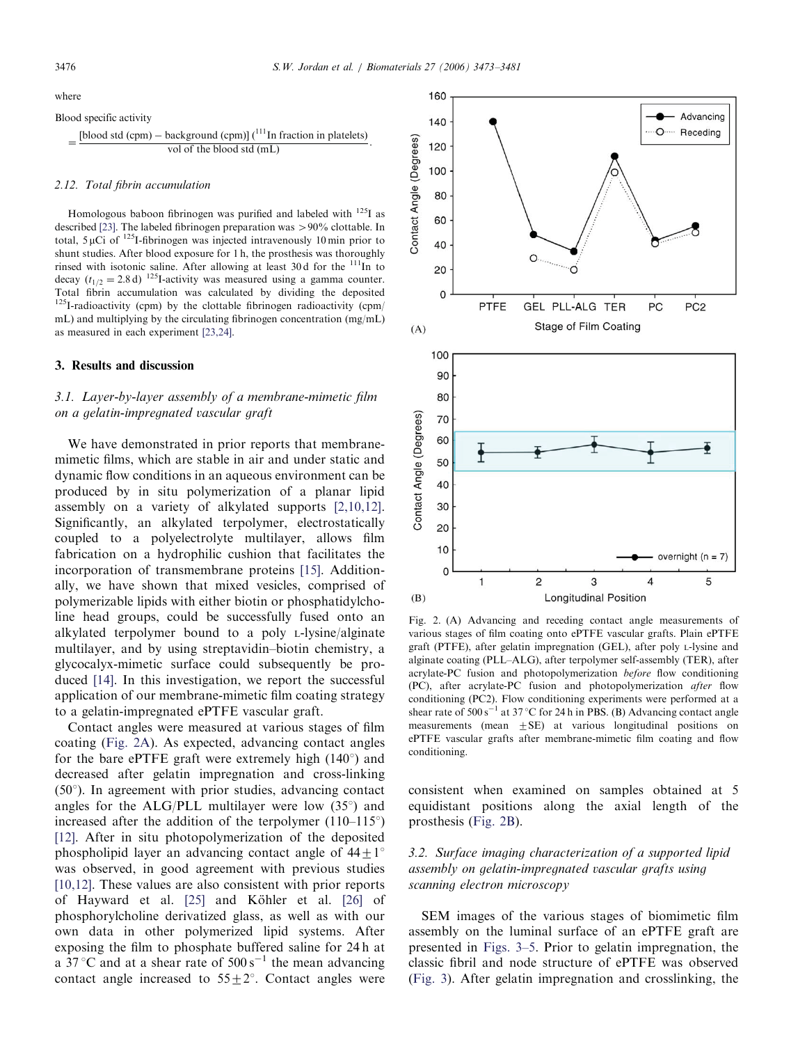Blood specific activity  $=\frac{\text{[blood std (cpm)}-\text{background (cpm)}\binom{111 \text{In fraction in platelets)}}{\text{vol of the blood std (mL)}}$ vol of the blood std (mL)

#### 2.12. Total fibrin accumulation

Homologous baboon fibrinogen was purified and labeled with <sup>125</sup>I as described [23]. The labeled fibrinogen preparation was  $> 90\%$  clottable. In total,  $5 \mu$ Ci of <sup>125</sup>I-fibrinogen was injected intravenously 10 min prior to shunt studies. After blood exposure for 1 h, the prosthesis was thoroughly rinsed with isotonic saline. After allowing at least 30 d for the  $111$ In to decay  $(t_{1/2}=2.8 d)^{-125}$ I-activity was measured using a gamma counter. Total fibrin accumulation was calculated by dividing the deposited  $125$ I-radioactivity (cpm) by the clottable fibrinogen radioactivity (cpm/ mL) and multiplying by the circulating fibrinogen concentration (mg/mL) as measured in each experiment [23,24].

#### 3. Results and discussion

# 3.1. Layer-by-layer assembly of a membrane-mimetic film on a gelatin-impregnated vascular graft

We have demonstrated in prior reports that membranemimetic films, which are stable in air and under static and dynamic flow conditions in an aqueous environment can be produced by in situ polymerization of a planar lipid assembly on a variety of alkylated supports [2,10,12]. Significantly, an alkylated terpolymer, electrostatically coupled to a polyelectrolyte multilayer, allows film fabrication on a hydrophilic cushion that facilitates the incorporation of transmembrane proteins [15]. Additionally, we have shown that mixed vesicles, comprised of polymerizable lipids with either biotin or phosphatidylcholine head groups, could be successfully fused onto an alkylated terpolymer bound to a poly L-lysine/alginate multilayer, and by using streptavidin–biotin chemistry, a glycocalyx-mimetic surface could subsequently be produced [14]. In this investigation, we report the successful application of our membrane-mimetic film coating strategy to a gelatin-impregnated ePTFE vascular graft.

Contact angles were measured at various stages of film coating (Fig. 2A). As expected, advancing contact angles for the bare ePTFE graft were extremely high  $(140^{\circ})$  and decreased after gelatin impregnation and cross-linking  $(50^{\circ})$ . In agreement with prior studies, advancing contact angles for the ALG/PLL multilayer were low  $(35^{\circ})$  and increased after the addition of the terpolymer  $(110-115^{\circ})$ [12]. After in situ photopolymerization of the deposited phospholipid layer an advancing contact angle of  $44+1^{\circ}$ was observed, in good agreement with previous studies [10,12]. These values are also consistent with prior reports of Hayward et al. [25] and Köhler et al. [26] of phosphorylcholine derivatized glass, as well as with our own data in other polymerized lipid systems. After exposing the film to phosphate buffered saline for 24 h at a  $37^{\circ}$ C and at a shear rate of  $500 \text{ s}^{-1}$  the mean advancing contact angle increased to  $55 \pm 2^{\circ}$ . Contact angles were



Fig. 2. (A) Advancing and receding contact angle measurements of various stages of film coating onto ePTFE vascular grafts. Plain ePTFE graft (PTFE), after gelatin impregnation (GEL), after poly L-lysine and alginate coating (PLL–ALG), after terpolymer self-assembly (TER), after acrylate-PC fusion and photopolymerization before flow conditioning (PC), after acrylate-PC fusion and photopolymerization after flow conditioning (PC2). Flow conditioning experiments were performed at a shear rate of  $500 s^{-1}$  at 37 °C for 24 h in PBS. (B) Advancing contact angle measurements (mean  $\pm$ SE) at various longitudinal positions on ePTFE vascular grafts after membrane-mimetic film coating and flow conditioning.

consistent when examined on samples obtained at 5 equidistant positions along the axial length of the prosthesis (Fig. 2B).

# 3.2. Surface imaging characterization of a supported lipid assembly on gelatin-impregnated vascular grafts using scanning electron microscopy

SEM images of the various stages of biomimetic film assembly on the luminal surface of an ePTFE graft are presented in Figs. 3–5. Prior to gelatin impregnation, the classic fibril and node structure of ePTFE was observed (Fig. 3). After gelatin impregnation and crosslinking, the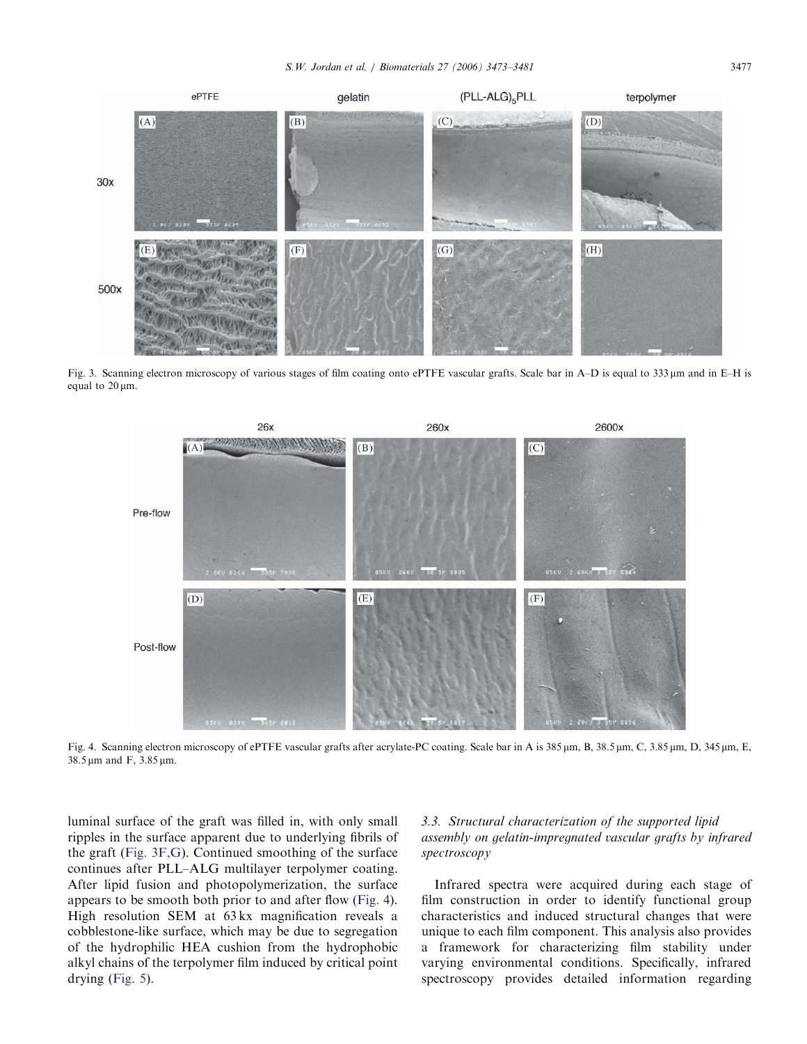

Fig. 3. Scanning electron microscopy of various stages of film coating onto ePTFE vascular grafts. Scale bar in A–D is equal to 333 mm and in E–H is equal to  $20 \mu m$ .



Fig. 4. Scanning electron microscopy of ePTFE vascular grafts after acrylate-PC coating. Scale bar in A is 385 µm, B, 38.5 µm, C, 3.85 µm, D, 345 µm, E,  $38.5 \,\mu m$  and F,  $3.85 \,\mu m$ .

luminal surface of the graft was filled in, with only small ripples in the surface apparent due to underlying fibrils of the graft (Fig. 3F,G). Continued smoothing of the surface continues after PLL–ALG multilayer terpolymer coating. After lipid fusion and photopolymerization, the surface appears to be smooth both prior to and after flow (Fig. 4). High resolution SEM at 63 kx magnification reveals a cobblestone-like surface, which may be due to segregation of the hydrophilic HEA cushion from the hydrophobic alkyl chains of the terpolymer film induced by critical point drying (Fig. 5).

# 3.3. Structural characterization of the supported lipid assembly on gelatin-impregnated vascular grafts by infrared spectroscopy

Infrared spectra were acquired during each stage of film construction in order to identify functional group characteristics and induced structural changes that were unique to each film component. This analysis also provides a framework for characterizing film stability under varying environmental conditions. Specifically, infrared spectroscopy provides detailed information regarding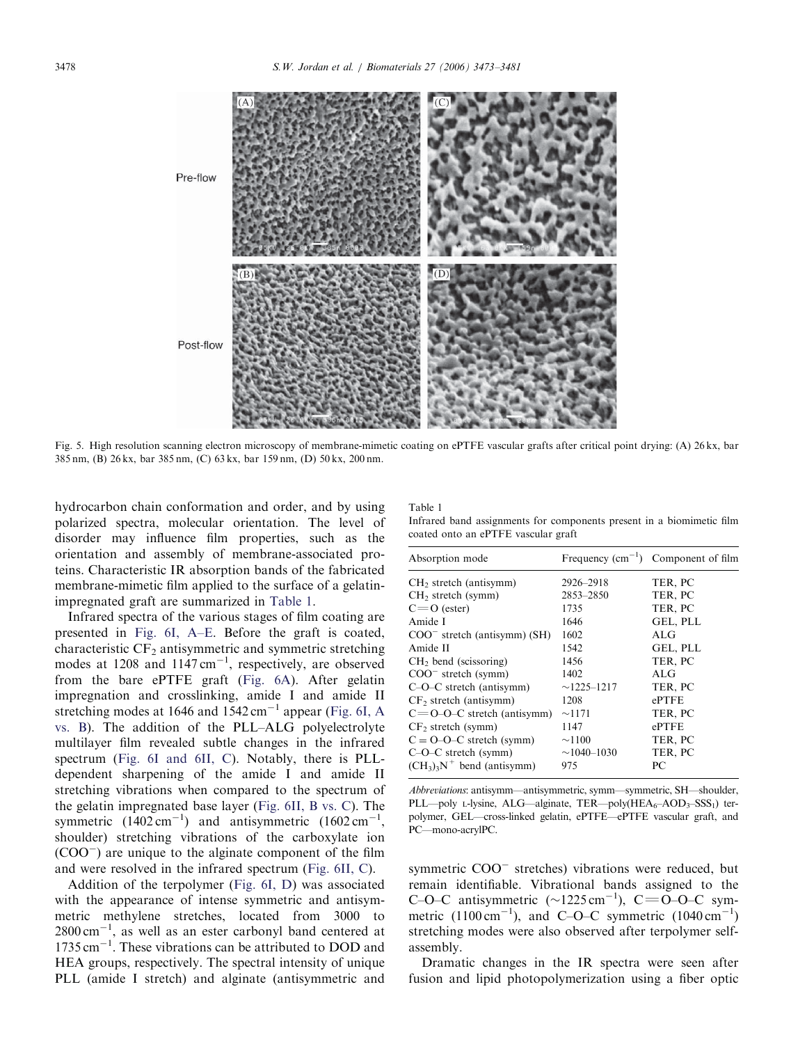

Fig. 5. High resolution scanning electron microscopy of membrane-mimetic coating on ePTFE vascular grafts after critical point drying: (A) 26 kx, bar 385 nm, (B) 26 kx, bar 385 nm, (C) 63 kx, bar 159 nm, (D) 50 kx, 200 nm.

hydrocarbon chain conformation and order, and by using polarized spectra, molecular orientation. The level of disorder may influence film properties, such as the orientation and assembly of membrane-associated proteins. Characteristic IR absorption bands of the fabricated membrane-mimetic film applied to the surface of a gelatinimpregnated graft are summarized in Table 1.

Infrared spectra of the various stages of film coating are presented in Fig. 6I, A–E. Before the graft is coated, characteristic CF<sub>2</sub> antisymmetric and symmetric stretching modes at 1208 and 1147 cm<sup>-1</sup>, respectively, are observed from the bare ePTFE graft (Fig. 6A). After gelatin impregnation and crosslinking, amide I and amide II stretching modes at 1646 and  $1542 \text{ cm}^{-1}$  appear (Fig. 6I, A vs. B). The addition of the PLL–ALG polyelectrolyte multilayer film revealed subtle changes in the infrared spectrum (Fig. 6I and 6II, C). Notably, there is PLLdependent sharpening of the amide I and amide II stretching vibrations when compared to the spectrum of the gelatin impregnated base layer (Fig. 6II, B vs. C). The symmetric  $(1402 \text{ cm}^{-1})$  and antisymmetric  $(1602 \text{ cm}^{-1})$ , shoulder) stretching vibrations of the carboxylate ion  $(COO^-)$  are unique to the alginate component of the film and were resolved in the infrared spectrum (Fig. 6II, C).

Addition of the terpolymer (Fig. 6I, D) was associated with the appearance of intense symmetric and antisymmetric methylene stretches, located from 3000 to  $2800 \text{ cm}^{-1}$ , as well as an ester carbonyl band centered at 1735 cm<sup>-1</sup>. These vibrations can be attributed to DOD and HEA groups, respectively. The spectral intensity of unique PLL (amide I stretch) and alginate (antisymmetric and Table 1

| Infrared band assignments for components present in a biomimetic film |  |  |
|-----------------------------------------------------------------------|--|--|
| coated onto an ePTFE vascular graft                                   |  |  |

| TER, PC<br>2926-2918<br>$CH2$ stretch (antisymm)<br>2853-2850<br>TER, PC<br>$CH2$ stretch (symm) |  |
|--------------------------------------------------------------------------------------------------|--|
|                                                                                                  |  |
|                                                                                                  |  |
| TER, PC<br>$C = O$ (ester)<br>1735                                                               |  |
| Amide I<br>GEL, PLL<br>1646                                                                      |  |
| 1602<br>A <sub>L</sub> G<br>$COO^-$ stretch (antisymm) (SH)                                      |  |
| Amide II<br>1542<br>GEL, PLL                                                                     |  |
| TER, PC<br>1456<br>$CH2$ bend (scissoring)                                                       |  |
| 1402<br>A <sub>L</sub> G<br>$COO^-$ stretch (symm)                                               |  |
| TER, PC<br>$C-O-C$ stretch (antisymm)<br>$\sim$ 1225–1217                                        |  |
| $CF2$ stretch (antisymm)<br>ePTFE<br>1208                                                        |  |
| TER, PC<br>$C = 0$ -O-C stretch (antisymm)<br>$\sim$ 1171                                        |  |
| ePTFE<br>$CF2$ stretch (symm)<br>1147                                                            |  |
| $C = O-O-C$ stretch (symm)<br>TER, PC<br>$\sim$ 1100                                             |  |
| TER, PC<br>$C-O-C$ stretch (symm)<br>$\sim$ 1040–1030                                            |  |
| $(CH_3)_3N^+$ bend (antisymm)<br>975<br>PС                                                       |  |

Abbreviations: antisymm—antisymmetric, symm—symmetric, SH—shoulder, PLL—poly L-lysine, ALG—alginate, TER—poly(HEA $_6$ –AOD<sub>3</sub>–SSS<sub>1</sub>) terpolymer, GEL—cross-linked gelatin, ePTFE—ePTFE vascular graft, and PC—mono-acrylPC.

symmetric COO<sup>-</sup> stretches) vibrations were reduced, but remain identifiable. Vibrational bands assigned to the C–O–C antisymmetric  $(\sim 1225 \text{ cm}^{-1})$ , C=O–O–C symmetric  $(1100 \text{ cm}^{-1})$ , and C-O-C symmetric  $(1040 \text{ cm}^{-1})$ stretching modes were also observed after terpolymer selfassembly.

Dramatic changes in the IR spectra were seen after fusion and lipid photopolymerization using a fiber optic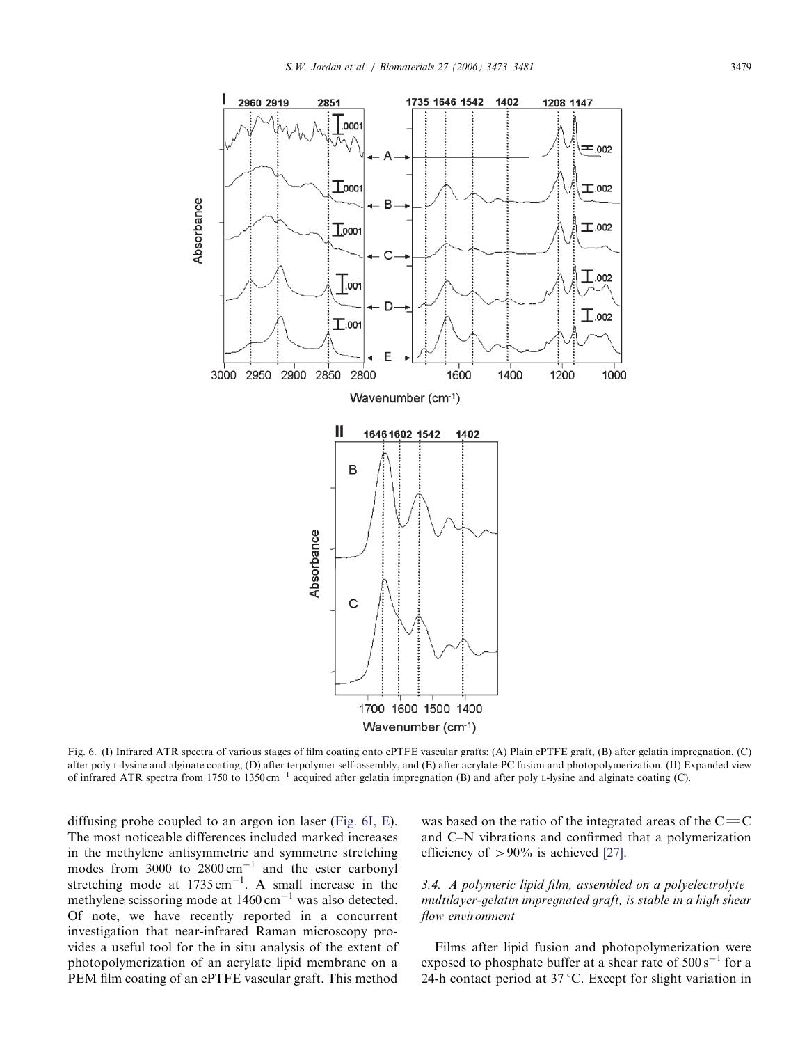

Fig. 6. (I) Infrared ATR spectra of various stages of film coating onto ePTFE vascular grafts: (A) Plain ePTFE graft, (B) after gelatin impregnation, (C) after poly L-lysine and alginate coating, (D) after terpolymer self-assembly, and (E) after acrylate-PC fusion and photopolymerization. (II) Expanded view of infrared ATR spectra from 1750 to 1350 cm<sup>-1</sup> acquired after gelatin impregnation (B) and after poly L-lysine and alginate coating (C).

diffusing probe coupled to an argon ion laser (Fig. 6I, E). The most noticeable differences included marked increases in the methylene antisymmetric and symmetric stretching modes from 3000 to  $2800 \text{ cm}^{-1}$  and the ester carbonyl stretching mode at  $1735 \text{ cm}^{-1}$ . A small increase in the methylene scissoring mode at  $1460 \text{ cm}^{-1}$  was also detected. Of note, we have recently reported in a concurrent investigation that near-infrared Raman microscopy provides a useful tool for the in situ analysis of the extent of photopolymerization of an acrylate lipid membrane on a PEM film coating of an ePTFE vascular graft. This method

was based on the ratio of the integrated areas of the  $C=$ C and C–N vibrations and confirmed that a polymerization efficiency of  $> 90\%$  is achieved [27].

# 3.4. A polymeric lipid film, assembled on a polyelectrolyte multilayer-gelatin impregnated graft, is stable in a high shear flow environment

Films after lipid fusion and photopolymerization were exposed to phosphate buffer at a shear rate of  $500 \text{ s}^{-1}$  for a 24-h contact period at  $37^{\circ}$ C. Except for slight variation in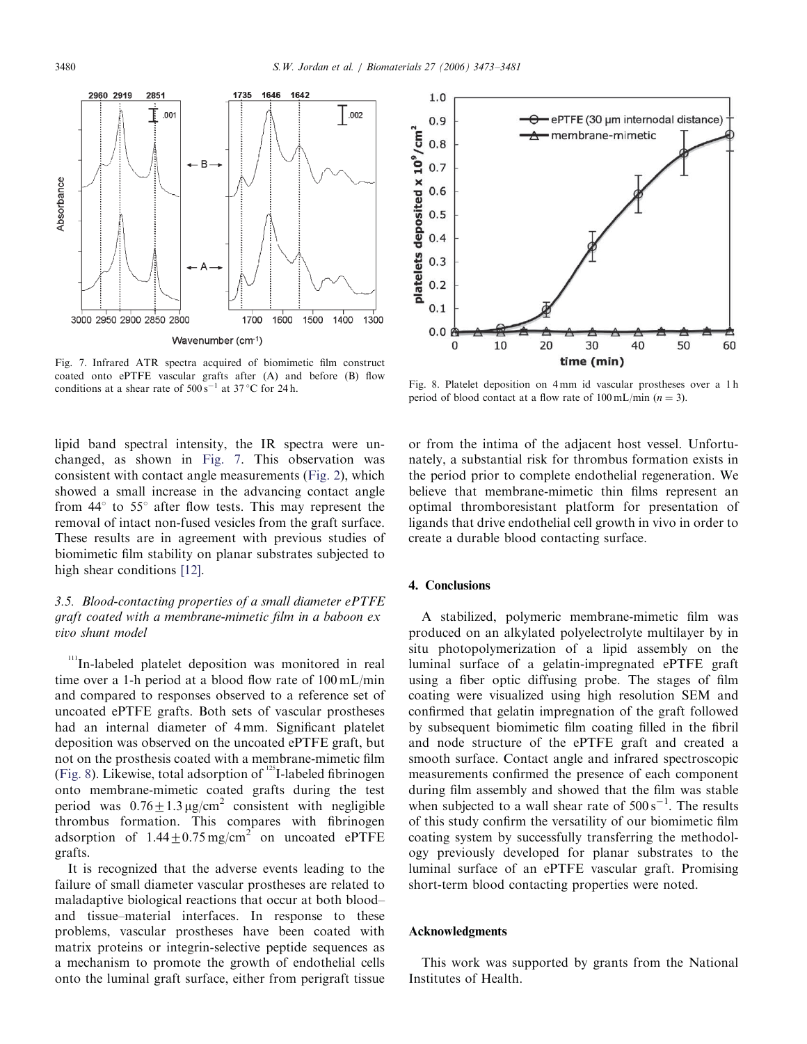

Fig. 7. Infrared ATR spectra acquired of biomimetic film construct coated onto ePTFE vascular grafts after (A) and before (B) flow conditions at a shear rate of  $500 s^{-1}$  at 37 °C for 24 h.

lipid band spectral intensity, the IR spectra were unchanged, as shown in Fig. 7. This observation was consistent with contact angle measurements (Fig. 2), which showed a small increase in the advancing contact angle from  $44^{\circ}$  to  $55^{\circ}$  after flow tests. This may represent the removal of intact non-fused vesicles from the graft surface. These results are in agreement with previous studies of biomimetic film stability on planar substrates subjected to high shear conditions [12].

# 3.5. Blood-contacting properties of a small diameter ePTFE graft coated with a membrane-mimetic film in a baboon ex vivo shunt model

In-labeled platelet deposition was monitored in real time over a 1-h period at a blood flow rate of 100 mL/min and compared to responses observed to a reference set of uncoated ePTFE grafts. Both sets of vascular prostheses had an internal diameter of 4 mm. Significant platelet deposition was observed on the uncoated ePTFE graft, but not on the prosthesis coated with a membrane-mimetic film (Fig. 8). Likewise, total adsorption of  $125$ I-labeled fibrinogen onto membrane-mimetic coated grafts during the test period was  $0.76 \pm 1.3 \,\mu$ g/cm<sup>2</sup> consistent with negligible thrombus formation. This compares with fibrinogen adsorption of  $1.44 \pm 0.75$  mg/cm<sup>2</sup> on uncoated ePTFE grafts.

It is recognized that the adverse events leading to the failure of small diameter vascular prostheses are related to maladaptive biological reactions that occur at both blood– and tissue–material interfaces. In response to these problems, vascular prostheses have been coated with matrix proteins or integrin-selective peptide sequences as a mechanism to promote the growth of endothelial cells onto the luminal graft surface, either from perigraft tissue



Fig. 8. Platelet deposition on 4 mm id vascular prostheses over a 1 h period of blood contact at a flow rate of  $100 \text{ mL/min}$  ( $n = 3$ ).

or from the intima of the adjacent host vessel. Unfortunately, a substantial risk for thrombus formation exists in the period prior to complete endothelial regeneration. We believe that membrane-mimetic thin films represent an optimal thromboresistant platform for presentation of ligands that drive endothelial cell growth in vivo in order to create a durable blood contacting surface.

# 4. Conclusions

A stabilized, polymeric membrane-mimetic film was produced on an alkylated polyelectrolyte multilayer by in situ photopolymerization of a lipid assembly on the luminal surface of a gelatin-impregnated ePTFE graft using a fiber optic diffusing probe. The stages of film coating were visualized using high resolution SEM and confirmed that gelatin impregnation of the graft followed by subsequent biomimetic film coating filled in the fibril and node structure of the ePTFE graft and created a smooth surface. Contact angle and infrared spectroscopic measurements confirmed the presence of each component during film assembly and showed that the film was stable when subjected to a wall shear rate of  $500 \text{ s}^{-1}$ . The results of this study confirm the versatility of our biomimetic film coating system by successfully transferring the methodology previously developed for planar substrates to the luminal surface of an ePTFE vascular graft. Promising short-term blood contacting properties were noted.

#### Acknowledgments

This work was supported by grants from the National Institutes of Health.